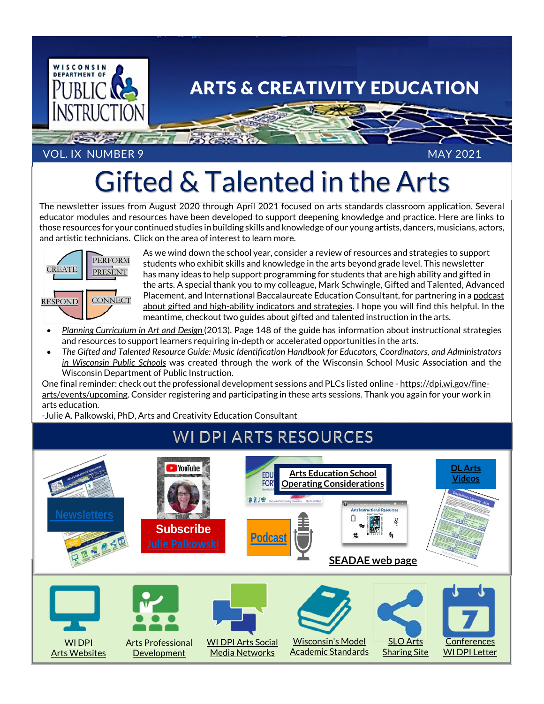

#### VOL. IX NUMBER 9 MAY 2021

# Gifted & Talented in the Arts

The newsletter issues from August 2020 through April 2021 focused on arts standards classroom application. Several educator modules and resources have been developed to support deepening knowledge and practice. Here are links to those resources for your continued studies in building skills and knowledge of our young artists, dancers, musicians, actors, and artistic technicians. Click on the area of interest to learn more.



As we wind down the school year, consider a review of resources and strategies to support students who exhibit skills and knowledge in the arts beyond grade level. This newsletter has many ideas to help support programming for students that are high ability and gifted in the arts. A special thank you to my colleague, Mark Schwingle, Gifted and Talented, Advanced Placement, and International Baccalaureate Education Consultant, for partnering in [a podcast](https://drive.google.com/file/d/1I912PROeOgXOHJZagR5x5UpbkyksuUji/view)  [about gifted and high-ability indicators and strategies.](https://drive.google.com/file/d/1I912PROeOgXOHJZagR5x5UpbkyksuUji/view) I hope you will find this helpful. In the meantime, checkout two guides about gifted and talented instruction in the arts.

- *Planning [Curriculum in Art and Design](https://dpi.wi.gov/sites/default/files/imce/cal/pdf/planning-curriculum-in-art-and-design.pdf)* (2013). Page 148 of the guide has information about instructional strategies and resources to support learners requiring in-depth or accelerated opportunities in the arts.
- *[The Gifted and Talented Resource Guide: Music Identification Handbook for Educators, Coordinators, and Administrators](https://drive.google.com/file/d/0B4LMDPvLeFzLQnEyYWNXa0dCSFU/view?usp=sharing)  [in Wisconsin Public Schools](https://drive.google.com/file/d/0B4LMDPvLeFzLQnEyYWNXa0dCSFU/view?usp=sharing)* was created through the work of the Wisconsin School Music Association and the Wisconsin Department of Public Instruction.

One final reminder: check out the professional development sessions and PLCs listed online - [https://dpi.wi.gov/fine](https://dpi.wi.gov/fine-arts/events/upcoming)[arts/events/upcoming.](https://dpi.wi.gov/fine-arts/events/upcoming) Consider registering and participating in these arts sessions. Thank you again for your work in arts education.

-Julie A. Palkowski, PhD, Arts and Creativity Education Consultant

## **WI DPI ARTS RESOURCES**